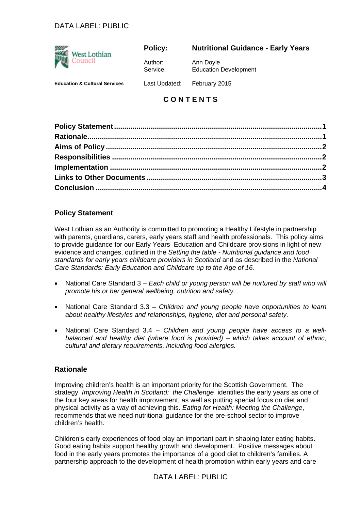# DATA LABEL: PUBLIC



#### **Policy:**

### **Nutritional Guidance - Early Years**

Author: Service: Ann Doyle Education Development

**Education & Cultural Services** 

Last Updated: February 2015

# **C O N T E N T S**

# **Policy Statement**

West Lothian as an Authority is committed to promoting a Healthy Lifestyle in partnership with parents, guardians, carers, early years staff and health professionals. This policy aims to provide guidance for our Early Years Education and Childcare provisions in light of new evidence and changes, outlined in the *Setting the table - Nutritional guidance and food standards for early years childcare providers in Scotland* and as described in the *National Care Standards: Early Education and Childcare up to the Age of 16.* 

- National Care Standard 3 *Each child or young person will be nurtured by staff who will promote his or her general wellbeing, nutrition and safety.*
- National Care Standard 3.3 *Children and young people have opportunities to learn about healthy lifestyles and relationships, hygiene, diet and personal safety.*
- National Care Standard 3.4 *Children and young people have access to a wellbalanced and healthy diet (where food is provided) – which takes account of ethnic, cultural and dietary requirements, including food allergies.*

### **Rationale**

Improving children's health is an important priority for the Scottish Government. The strategy *Improving Health in Scotland: the Challenge* identifies the early years as one of the four key areas for health improvement, as well as putting special focus on diet and physical activity as a way of achieving this. *Eating for Health: Meeting the Challenge*, recommends that we need nutritional guidance for the pre-school sector to improve children's health.

Children's early experiences of food play an important part in shaping later eating habits. Good eating habits support healthy growth and development. Positive messages about food in the early years promotes the importance of a good diet to children's families. A partnership approach to the development of health promotion within early years and care

DATA LABEL: PUBLIC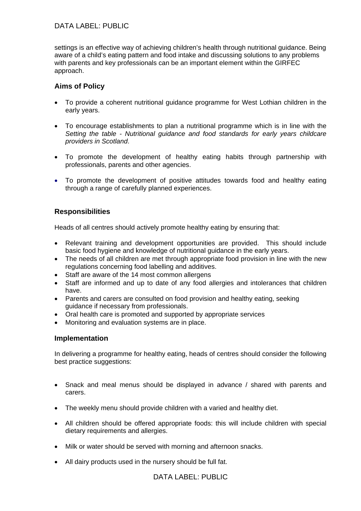# DATA LABEL: PUBLIC

settings is an effective way of achieving children's health through nutritional guidance. Being aware of a child's eating pattern and food intake and discussing solutions to any problems with parents and key professionals can be an important element within the GIRFEC approach.

# **Aims of Policy**

- To provide a coherent nutritional guidance programme for West Lothian children in the early years.
- To encourage establishments to plan a nutritional programme which is in line with the *Setting the table - Nutritional guidance and food standards for early years childcare providers in Scotland*.
- To promote the development of healthy eating habits through partnership with professionals, parents and other agencies.
- To promote the development of positive attitudes towards food and healthy eating through a range of carefully planned experiences.

# **Responsibilities**

Heads of all centres should actively promote healthy eating by ensuring that:

- Relevant training and development opportunities are provided. This should include basic food hygiene and knowledge of nutritional guidance in the early years.
- The needs of all children are met through appropriate food provision in line with the new regulations concerning food labelling and additives.
- Staff are aware of the 14 most common allergens
- Staff are informed and up to date of any food allergies and intolerances that children have.
- Parents and carers are consulted on food provision and healthy eating, seeking guidance if necessary from professionals.
- Oral health care is promoted and supported by appropriate services
- Monitoring and evaluation systems are in place.

#### **Implementation**

In delivering a programme for healthy eating, heads of centres should consider the following best practice suggestions:

- Snack and meal menus should be displayed in advance / shared with parents and carers.
- The weekly menu should provide children with a varied and healthy diet.
- All children should be offered appropriate foods: this will include children with special dietary requirements and allergies.
- Milk or water should be served with morning and afternoon snacks.
- All dairy products used in the nursery should be full fat.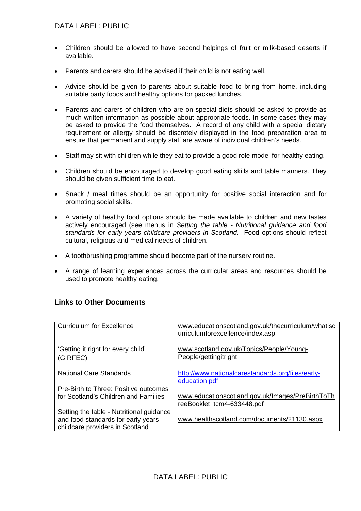- Children should be allowed to have second helpings of fruit or milk-based deserts if available.
- Parents and carers should be advised if their child is not eating well.
- Advice should be given to parents about suitable food to bring from home, including suitable party foods and healthy options for packed lunches.
- Parents and carers of children who are on special diets should be asked to provide as much written information as possible about appropriate foods. In some cases they may be asked to provide the food themselves. A record of any child with a special dietary requirement or allergy should be discretely displayed in the food preparation area to ensure that permanent and supply staff are aware of individual children's needs.
- Staff may sit with children while they eat to provide a good role model for healthy eating.
- Children should be encouraged to develop good eating skills and table manners. They should be given sufficient time to eat.
- Snack / meal times should be an opportunity for positive social interaction and for promoting social skills.
- A variety of healthy food options should be made available to children and new tastes actively encouraged (see menus in *Setting the table - Nutritional guidance and food standards for early years childcare providers in Scotland*. Food options should reflect cultural, religious and medical needs of children.
- A toothbrushing programme should become part of the nursery routine.
- A range of learning experiences across the curricular areas and resources should be used to promote healthy eating.

### **Links to Other Documents**

| <b>Curriculum for Excellence</b>                                                                                  | www.educationscotland.gov.uk/thecurriculum/whatisc<br>urriculumforexcellence/index.asp |
|-------------------------------------------------------------------------------------------------------------------|----------------------------------------------------------------------------------------|
| 'Getting it right for every child'<br>(GIRFEC)                                                                    | www.scotland.gov.uk/Topics/People/Young-<br>People/gettingitright                      |
| <b>National Care Standards</b>                                                                                    | http://www.nationalcarestandards.org/files/early-<br>education.pdf                     |
| Pre-Birth to Three: Positive outcomes<br>for Scotland's Children and Families                                     | www.educationscotland.gov.uk/Images/PreBirthToTh<br>reeBooklet tcm4-633448.pdf         |
| Setting the table - Nutritional guidance<br>and food standards for early years<br>childcare providers in Scotland | www.healthscotland.com/documents/21130.aspx                                            |